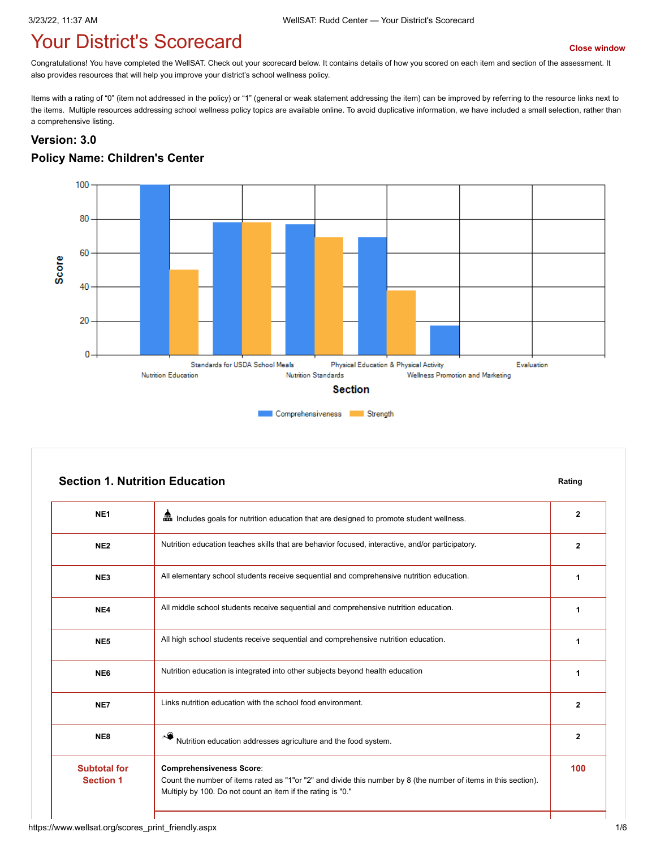# **The Vour District's Scorecard We are all the Consequent [Close window](javascript:close();)**

Congratulations! You have completed the WellSAT. Check out your scorecard below. It contains details of how you scored on each item and section of the assessment. It also provides resources that will help you improve your district's school wellness policy.

Items with a rating of "0" (item not addressed in the policy) or "1" (general or weak statement addressing the item) can be improved by referring to the resource links next to the items. Multiple resources addressing school wellness policy topics are available online. To avoid duplicative information, we have included a small selection, rather than a comprehensive listing.

#### **Version: 3.0**

#### **Policy Name: Children's Center**



|                 | <b>Section 1. Nutrition Education</b>                                                            |              |
|-----------------|--------------------------------------------------------------------------------------------------|--------------|
| NE <sub>1</sub> | ▦<br>Includes goals for nutrition education that are designed to promote student wellness.       | $\mathbf{2}$ |
| NE <sub>2</sub> | Nutrition education teaches skills that are behavior focused, interactive, and/or participatory. | $\mathbf{2}$ |
| NE <sub>3</sub> | All elementary school students receive sequential and comprehensive nutrition education.         |              |
| NE4             | All middle school students receive sequential and comprehensive nutrition education.             |              |
| NE <sub>5</sub> | All high school students receive sequential and comprehensive nutrition education.               |              |
| NE <sub>6</sub> | Nutrition education is integrated into other subjects beyond health education                    |              |
| NE7             | Links nutrition education with the school food environment.                                      | $\mathbf{2}$ |
| NE8             | Nutrition education addresses agriculture and the food system.                                   | 2            |

Count the number of items rated as "1"or "2" and divide this number by 8 (the number of items in this section).

**Comprehensiveness Score**:

Multiply by 100. Do not count an item if the rating is "0."

**Subtotal for Section 1**

**100**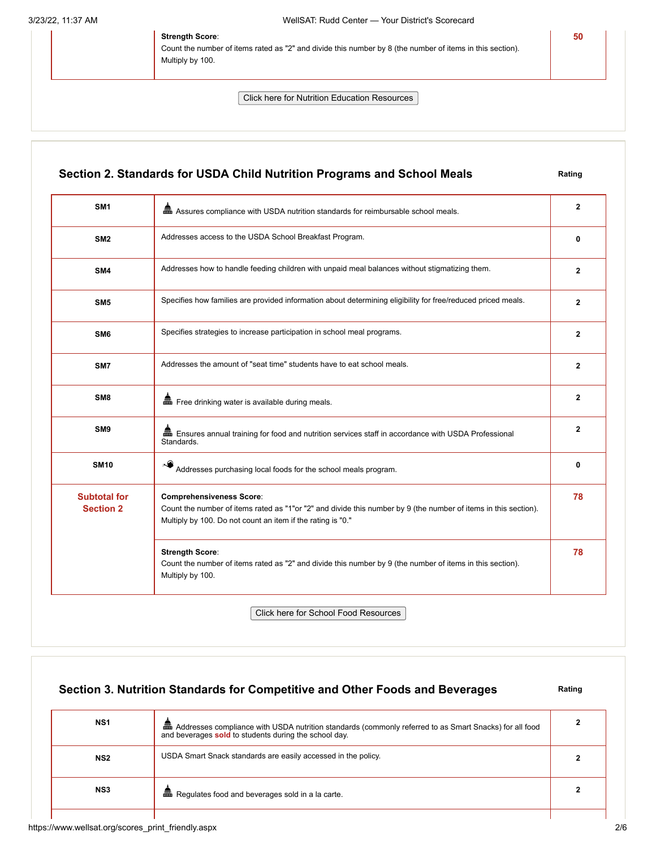#### **Strength Score**:

Count the number of items rated as "2" and divide this number by 8 (the number of items in this section). Multiply by 100.

Click here for Nutrition Education Resources

## **Section 2. Standards for USDA Child Nutrition Programs and School Meals Rating SM1 a**<br>**2** Assures compliance with USDA nutrition standards for reimbursable school meals. **SM2** Addresses access to the USDA School Breakfast Program. **0 1 1 1 1 1 1 1 SM4** Addresses how to handle feeding children with unpaid meal balances without stigmatizing them. **2 SM5** Specifies how families are provided information about determining eligibility for free/reduced priced meals. **2 SM6** Specifies strategies to increase participation in school meal programs. **2 SM7** Addresses the amount of "seat time" students have to eat school meals. **2 2 SM8 a** Free drinking water is available during meals. **2 2 SM9 Ensures annual training for food and nutrition services staff in accordance with USDA Professional** Standards. **2 SM10 Addresses purchasing local foods for the school meals program. 0 0 0 Subtotal for Section 2 Comprehensiveness Score**: Count the number of items rated as "1"or "2" and divide this number by 9 (the number of items in this section). Multiply by 100. Do not count an item if the rating is "0." **78 Strength Score**: Count the number of items rated as "2" and divide this number by 9 (the number of items in this section). Multiply by 100. **78**

Click here for School Food Resources

#### **Section 3. Nutrition Standards for Competitive and Other Foods and Beverages** Rating

**50**

| NS <sub>1</sub> | and Addresses compliance with USDA nutrition standards (commonly referred to as Smart Snacks) for all food<br>and beverages sold to students during the school day. |  |
|-----------------|---------------------------------------------------------------------------------------------------------------------------------------------------------------------|--|
| NS <sub>2</sub> | USDA Smart Snack standards are easily accessed in the policy.                                                                                                       |  |
| NS <sub>3</sub> | <b>Et Regulates food and beverages sold in a la carte.</b>                                                                                                          |  |
|                 |                                                                                                                                                                     |  |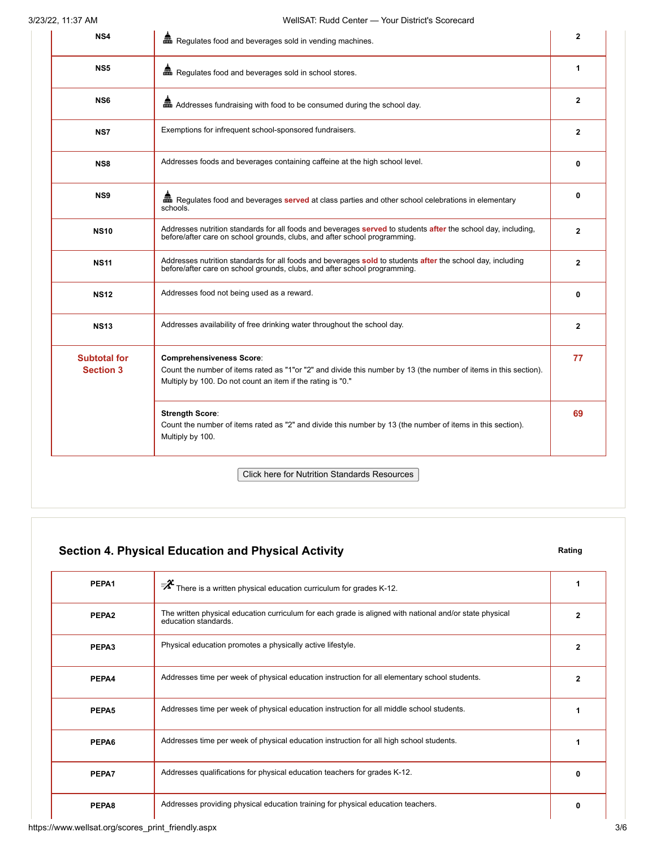| Regulates food and beverages sold in school stores.                                                                                                                                                                | 1            |
|--------------------------------------------------------------------------------------------------------------------------------------------------------------------------------------------------------------------|--------------|
|                                                                                                                                                                                                                    |              |
| and Addresses fundraising with food to be consumed during the school day.                                                                                                                                          | $\mathbf{2}$ |
| Exemptions for infrequent school-sponsored fundraisers.                                                                                                                                                            | $\mathbf{2}$ |
| Addresses foods and beverages containing caffeine at the high school level.                                                                                                                                        | 0            |
| Regulates food and beverages served at class parties and other school celebrations in elementary<br>schools.                                                                                                       | 0            |
| Addresses nutrition standards for all foods and beverages served to students after the school day, including,<br>before/after care on school grounds, clubs, and after school programming.                         | $\mathbf{2}$ |
| Addresses nutrition standards for all foods and beverages sold to students after the school day, including<br>before/after care on school grounds, clubs, and after school programming.                            | $\mathbf{2}$ |
| Addresses food not being used as a reward.                                                                                                                                                                         | 0            |
| Addresses availability of free drinking water throughout the school day.                                                                                                                                           | $\mathbf{2}$ |
| <b>Comprehensiveness Score:</b><br>Count the number of items rated as "1"or "2" and divide this number by 13 (the number of items in this section).<br>Multiply by 100. Do not count an item if the rating is "0." | 77           |
| <b>Strength Score:</b><br>Count the number of items rated as "2" and divide this number by 13 (the number of items in this section).<br>Multiply by 100.                                                           | 69           |
|                                                                                                                                                                                                                    |              |

## **Section 4. Physical Education and Physical Activity <b>Rating** Rating

| PEPA1             | $\overline{\mathscr{F}}$ There is a written physical education curriculum for grades K-12.                                      |   |
|-------------------|---------------------------------------------------------------------------------------------------------------------------------|---|
| PEPA <sub>2</sub> | The written physical education curriculum for each grade is aligned with national and/or state physical<br>education standards. | 2 |
| PEPA3             | Physical education promotes a physically active lifestyle.                                                                      |   |
| PEPA4             | Addresses time per week of physical education instruction for all elementary school students.                                   | 2 |
| PEPA5             | Addresses time per week of physical education instruction for all middle school students.                                       |   |
| PEPA6             | Addresses time per week of physical education instruction for all high school students.                                         |   |
| PEPA7             | Addresses qualifications for physical education teachers for grades K-12.                                                       | ŋ |
| PEPA8             | Addresses providing physical education training for physical education teachers.                                                | 0 |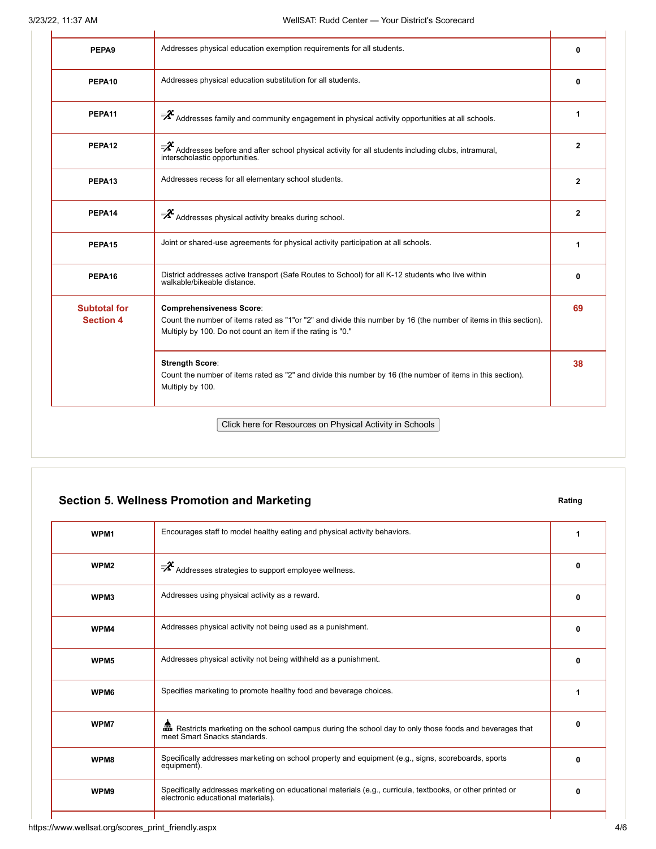| PEPA9                                   | Addresses physical education exemption requirements for all students.                                                                                                                                              | 0              |
|-----------------------------------------|--------------------------------------------------------------------------------------------------------------------------------------------------------------------------------------------------------------------|----------------|
| PEPA10                                  | Addresses physical education substitution for all students.                                                                                                                                                        | 0              |
| PEPA11                                  | $\bar{P}^{\chi}$ Addresses family and community engagement in physical activity opportunities at all schools.                                                                                                      | 1              |
| PEPA <sub>12</sub>                      | $\bar{P}^{\chi}$ Addresses before and after school physical activity for all students including clubs, intramural,<br>interscholastic opportunities.                                                               | $\mathbf{2}$   |
| PEPA13                                  | Addresses recess for all elementary school students.                                                                                                                                                               | $\mathbf{2}$   |
| PEPA14                                  | $\overline{\mathbf{z}}^2$ Addresses physical activity breaks during school.                                                                                                                                        | $\overline{2}$ |
| PEPA15                                  | Joint or shared-use agreements for physical activity participation at all schools.                                                                                                                                 | 1              |
| PEPA16                                  | District addresses active transport (Safe Routes to School) for all K-12 students who live within<br>walkable/bikeable distance.                                                                                   | 0              |
| <b>Subtotal for</b><br><b>Section 4</b> | <b>Comprehensiveness Score:</b><br>Count the number of items rated as "1"or "2" and divide this number by 16 (the number of items in this section).<br>Multiply by 100. Do not count an item if the rating is "0." | 69             |
|                                         | <b>Strength Score:</b><br>Count the number of items rated as "2" and divide this number by 16 (the number of items in this section).<br>Multiply by 100.                                                           | 38             |

## **Section 5. Wellness Promotion and Marketing <b>Rating Rating Rating**

| WPM <sub>1</sub> | Encourages staff to model healthy eating and physical activity behaviors.                                                                        | 1 |
|------------------|--------------------------------------------------------------------------------------------------------------------------------------------------|---|
| WPM <sub>2</sub> | $\overline{\mathscr{F}}$ Addresses strategies to support employee wellness.                                                                      | 0 |
| WPM3             | Addresses using physical activity as a reward.                                                                                                   | 0 |
| WPM4             | Addresses physical activity not being used as a punishment.                                                                                      | 0 |
| WPM <sub>5</sub> | Addresses physical activity not being withheld as a punishment.                                                                                  | 0 |
| WPM6             | Specifies marketing to promote healthy food and beverage choices.                                                                                | 1 |
| WPM7             | Em Restricts marketing on the school campus during the school day to only those foods and beverages that<br>meet Smart Snacks standards.         | 0 |
| WPM8             | Specifically addresses marketing on school property and equipment (e.g., signs, scoreboards, sports<br>equipment).                               | 0 |
| WPM <sub>9</sub> | Specifically addresses marketing on educational materials (e.g., curricula, textbooks, or other printed or<br>electronic educational materials). | 0 |
|                  |                                                                                                                                                  |   |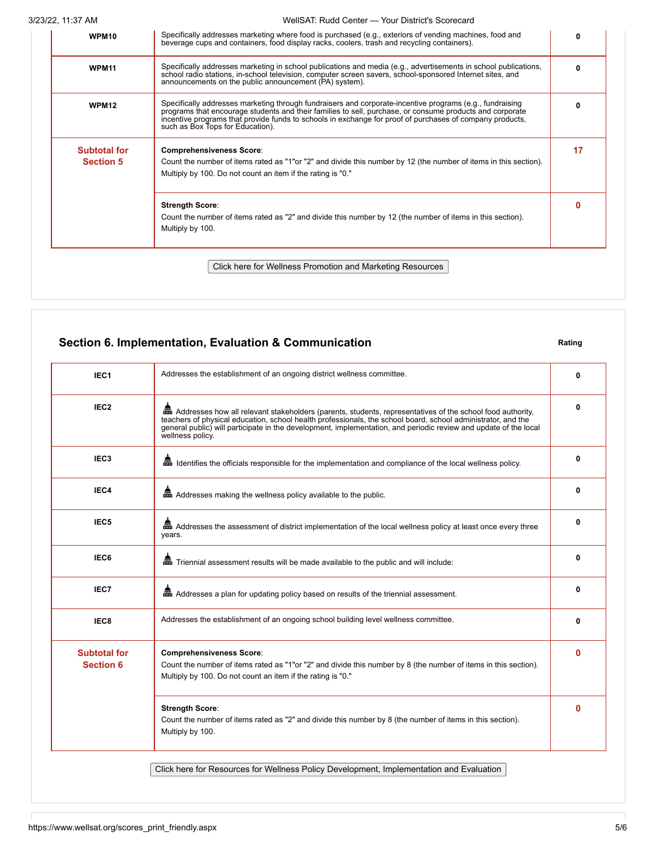3/23/22, 11:37 AM WellSAT: Rudd Center — Your District's Scorecard

| WPM10                                   | Specifically addresses marketing where food is purchased (e.g., exteriors of vending machines, food and<br>beverage cups and containers, food display racks, coolers, trash and recycling containers).                                                                                                                                                               | 0  |
|-----------------------------------------|----------------------------------------------------------------------------------------------------------------------------------------------------------------------------------------------------------------------------------------------------------------------------------------------------------------------------------------------------------------------|----|
| <b>WPM11</b>                            | Specifically addresses marketing in school publications and media (e.g., advertisements in school publications,<br>school radio stations, in-school television, computer screen savers, school-sponsored Internet sites, and<br>announcements on the public announcement (PA) system).                                                                               | 0  |
| <b>WPM12</b>                            | Specifically addresses marketing through fundraisers and corporate-incentive programs (e.g., fundraising<br>programs that encourage students and their families to sell, purchase, or consume products and corporate<br>incentive programs that provide funds to schools in exchange for proof of purchases of company products,<br>such as Box Tops for Education). | 0  |
| <b>Subtotal for</b><br><b>Section 5</b> | <b>Comprehensiveness Score:</b><br>Count the number of items rated as "1"or "2" and divide this number by 12 (the number of items in this section).<br>Multiply by 100. Do not count an item if the rating is "0."                                                                                                                                                   | 17 |
|                                         | <b>Strength Score:</b><br>Count the number of items rated as "2" and divide this number by 12 (the number of items in this section).<br>Multiply by 100.                                                                                                                                                                                                             | 0  |

### **Section 6. Implementation, Evaluation & Communication Rating Rating**

| IEC <sub>1</sub>                        | Addresses the establishment of an ongoing district wellness committee.                                                                                                                                                                                                                                                                                                | 0        |
|-----------------------------------------|-----------------------------------------------------------------------------------------------------------------------------------------------------------------------------------------------------------------------------------------------------------------------------------------------------------------------------------------------------------------------|----------|
| IEC <sub>2</sub>                        | and Addresses how all relevant stakeholders (parents, students, representatives of the school food authority,<br>teachers of physical education, school health professionals, the school board, school administrator, and the<br>general public) will participate in the development, implementation, and periodic review and update of the local<br>wellness policy. | 0        |
| IEC <sub>3</sub>                        | and I dentifies the officials responsible for the implementation and compliance of the local wellness policy.                                                                                                                                                                                                                                                         | 0        |
| IEC4                                    | and Addresses making the wellness policy available to the public.                                                                                                                                                                                                                                                                                                     | 0        |
| IEC5                                    | Addresses the assessment of district implementation of the local wellness policy at least once every three<br>years.                                                                                                                                                                                                                                                  | 0        |
| IEC6                                    | en Triennial assessment results will be made available to the public and will include:                                                                                                                                                                                                                                                                                | 0        |
| IEC7                                    | and Addresses a plan for updating policy based on results of the triennial assessment.                                                                                                                                                                                                                                                                                | 0        |
| IEC8                                    | Addresses the establishment of an ongoing school building level wellness committee.                                                                                                                                                                                                                                                                                   | 0        |
| <b>Subtotal for</b><br><b>Section 6</b> | <b>Comprehensiveness Score:</b><br>Count the number of items rated as "1"or "2" and divide this number by 8 (the number of items in this section).<br>Multiply by 100. Do not count an item if the rating is "0."                                                                                                                                                     | O        |
|                                         | <b>Strength Score:</b><br>Count the number of items rated as "2" and divide this number by 8 (the number of items in this section).<br>Multiply by 100.                                                                                                                                                                                                               | $\Omega$ |

Click here for Resources for Wellness Policy Development, Implementation and Evaluation